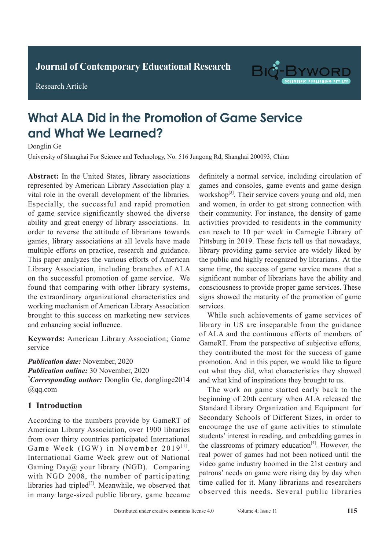**Journal of Clinical and Nursing Research Journal of Contemporary Educational Research**

**Research Article** 

Research Article



# What ALA Did in the Promotion of Game Service and What We Learned? **Diagnostic Value of Spiral CT Chest Engineers Donglin Ge**

Donglin Ge

University of Shanghai For Science and Technology, No. 516 Jungong Rd, Shanghai 200093, China

Abstract: In the United States, library associations represented by American Library Association play a **Absociation** play a vital role in the overall development of the libraries. Especially, the successful and rapid promotion of game service significantly showed the diverse ability and great energy of library associations. In order to reverse the attitude of librarians towards games, library associations at all levels have made multiple efforts on practice, research and guidance. This paper analyzes the various efforts of American Library Association, including branches of ALA on the successful promotion of game service. We found that comparing with other library systems, the extraordinary organizational characteristics and working mechanism of American Library Association brought to this success on marketing new services and enhancing social influence.  $\frac{1}{\sqrt{2}}$ 

Keywords: American Library Association; Game chest X-ray of 7.69%, and the accuracy rate of active of active of active of active of active of active of active of active of active of active of active of active of active of active of active of active of active of activ service  $f(x)$  is the set of the set of  $f(x)$  is specified.

Publication date: November, 2020 Publication online: 30 November, 2020 <u><sup>\*</sup>Corresponding</u> guther: Donalin Ge donalinge?014 *Concerning* the spiral C<sub>C</sub> chest end concerning scan can not concern concerning scan can not concern concerning scan can not concern concerning to the concerning of the concerning of the concerning of the concerning of t  $\mathcal{O}_1$  find special tuberculosis lesions that cannot be called  $\mathcal{O}_2$ \*Corresponding author: Donglin Ge, donglinge2014 @qq.com The difference was statistically significant (*P*<0.05).

#### **1 Introduction** *Conclusion:* Spiral CT chest enhanced scan can not

According to the numbers provide by GameRT of from over thirty countries participated International Game Week (IGW) in November 2019<sup>[1]</sup>. International Game Week grew out of National Gaming Day@ your library (NGD). Comparing with NGD 2008, the number of participating with NOD 2006, the humber of participating<br>libraries had tripled<sup>[2]</sup>. Meanwhile, we observed that *notaties had urpied* : *Meanwhile*, we observed that in many large-sized public library, game became American Library Association, over 1900 libraries *\*Corresponding author:* Ruishu Wang, wrs26121939@

definitely a normal service, including circulation of games and consoles, game events and game design  $\frac{[3]}{[2]}$ workshop<sup>[3]</sup>. Their service covers young and old, men and women, in order to get strong connection with their community. For instance, the density of game activities provided to residents in the community can reach to 10 per week in Carnegie Library of Pittsburg in 2019. These facts tell us that nowadays, library providing game service are widely liked by the public and highly recognized by librarians. At the same time, the success of game service means that a significant number of librarians have the ability and consciousness to provide proper game services. These signs showed the maturity of the promotion of game  $\frac{1}{2}$  express.  $s$ ervices.

While such achievements of game services of library in US are inseparable from the guidance of ALA and the continuous efforts of members of GameRT. From the perspective of subjective efforts, they contributed the most for the success of game promotion. And in this paper, we would like to figure promotion, high in this paper, we would like to figure and what kind of inspirations they brought to us. promotion. And in this paper, we would like to figure<br>out what they did, what characteristics they showed<br>and what kind of inspirations they brought to us.

The work on game started early back to the beginning of 20th century when ALA released the active pulmonary tuberculosis. Standard Library Organization and Equipment for Secondary Schools of Different Sizes, in order to students' interest in reading, and embedding games in **1.12 Conservers C primary CREWATEL Primary CREWATER** video game industry boomed in the 21st century and patrons' needs on game were rising day by day when patients incease of game were rising any by any when<br>time called for it. Many librarians and researchers chest X-ray noturities and resourcies observed this needs. Several public libraries encourage the use of game activities to stimulate the classrooms of primary education $[4]$ . However, the The work on game started early back to the<br>beginning of 20th century when ALA released the<br>Standard Library Organization and Equipment for video game industry boomed in the 21st century and<br>patrons' needs on game were rising day by day when<br>time called for it. Many librarians and researchers<br>observed this needs. Several public libraries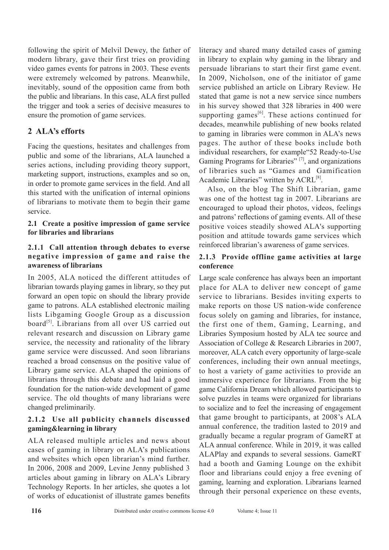following the spirit of Melvil Dewey, the father of modern library, gave their first tries on providing video games events for patrons in 2003. These events were extremely welcomed by patrons. Meanwhile, inevitably, sound of the opposition came from both the public and librarians. In this case, ALA first pulled the trigger and took a series of decisive measures to ensure the promotion of game services.

## **2 ALA's efforts**

Facing the questions, hesitates and challenges from public and some of the librarians, ALA launched a series actions, including providing theory support, marketing support, instructions, examples and so on, in order to promote game services in the field. And all this started with the unification of internal opinions of librarians to motivate them to begin their game service.

#### **2.1 Create a positive impression of game service for libraries and librarians**

#### **2.1.1 Call attention through debates to everse negative impression of game and raise the awareness of librarians**

In 2005, ALA noticed the different attitudes of librarian towards playing games in library, so they put forward an open topic on should the library provide game to patrons. ALA established electronic mailing lists Libgaming Google Group as a discussion board<sup>[5]</sup>. Librarians from all over US carried out relevant research and discussion on Library game service, the necessity and rationality of the library game service were discussed. And soon librarians reached a broad consensus on the positive value of Library game service. ALA shaped the opinions of librarians through this debate and had laid a good foundation for the nation-wide development of game service. The old thoughts of many librarians were changed preliminarily.

#### **2.1.2 Use all publicity channels discussed gaming&learning in library**

ALA released multiple articles and news about cases of gaming in library on ALA's publications and websites which open librarian's mind further. In 2006, 2008 and 2009, Levine Jenny published 3 articles about gaming in library on ALA's Library Technology Reports. In her articles, she quotes a lot of works of educationist of illustrate games benefits

literacy and shared many detailed cases of gaming in library to explain why gaming in the library and persuade librarians to start their first game event. In 2009, Nicholson, one of the initiator of game service published an article on Library Review. He stated that game is not a new service since numbers in his survey showed that 328 libraries in 400 were supporting games<sup>[6]</sup>. These actions continued for decades, meanwhile publishing of new books related to gaming in libraries were common in ALA's news pages. The author of these books include both individual researchers, for example"52 Ready-to-Use Gaming Programs for Libraries"<sup>[7]</sup>, and organizations of libraries such as "Games and Gamification Academic Libraries" written by ACRL<sup>[8]</sup>.

Also, on the blog The Shift Librarian, game was one of the hottest tag in 2007. Librarians are encouraged to upload their photos, videos, feelings and patrons' reflections of gaming events. All of these positive voices steadily showed ALA's supporting position and attitude towards game services which reinforced librarian's awareness of game services.

#### **2.1.3 Provide offline game activities at large conference**

Large scale conference has always been an important place for ALA to deliver new concept of game service to librarians. Besides inviting experts to make reports on those US nation-wide conference focus solely on gaming and libraries, for instance, the first one of them, Gaming, Learning, and Libraries Symposium hosted by ALA tec source and Association of College & Research Libraries in 2007, moreover, ALA catch every opportunity of large-scale conferences, including their own annual meetings, to host a variety of game activities to provide an immersive experience for librarians. From the big game California Dream which allowed participants to solve puzzles in teams were organized for librarians to socialize and to feel the increasing of engagement that game brought to participants, at 2008's ALA annual conference, the tradition lasted to 2019 and gradually became a regular program of GameRT at ALA annual conference. While in 2019, it was called ALAPlay and expands to several sessions. GameRT had a booth and Gaming Lounge on the exhibit floor and librarians could enjoy a free evening of gaming, learning and exploration. Librarians learned through their personal experience on these events,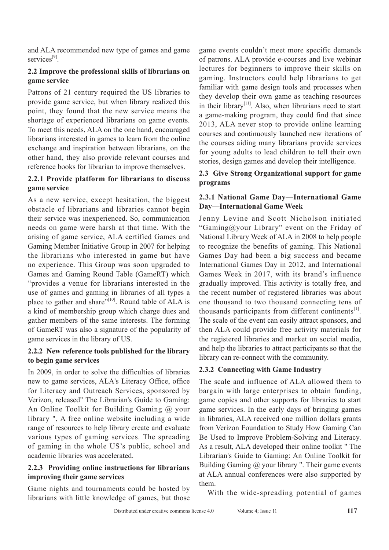and ALA recommended new type of games and game services<sup>[9]</sup>

#### **2.2 Improve the professional skills of librarians on game service**

Patrons of 21 century required the US libraries to provide game service, but when library realized this point, they found that the new service means the shortage of experienced librarians on game events. To meet this needs, ALA on the one hand, encouraged librarians interested in games to learn from the online exchange and inspiration between librarians, on the other hand, they also provide relevant courses and reference books for librarian to improve themselves.

#### **2.2.1 Provide platform for librarians to discuss game service**

As a new service, except hesitation, the biggest obstacle of librarians and libraries cannot begin their service was inexperienced. So, communication needs on game were harsh at that time. With the arising of game service, ALA certified Games and Gaming Member Initiative Group in 2007 for helping the librarians who interested in game but have no experience. This Group was soon upgraded to Games and Gaming Round Table (GameRT) which "provides a venue for librarians interested in the use of games and gaming in libraries of all types a place to gather and share"<sup>[10]</sup>. Round table of ALA is a kind of membership group which charge dues and gather members of the same interests. The forming of GameRT was also a signature of the popularity of game services in the library of US.

#### **2.2.2 New reference tools published for the library to begin game services**

In 2009, in order to solve the difficulties of libraries new to game services, ALA's Literacy Office, office for Literacy and Outreach Services, sponsored by Verizon, released" The Librarian's Guide to Gaming: An Online Toolkit for Building Gaming @ your library ", A free online website including a wide range of resources to help library create and evaluate various types of gaming services. The spreading of gaming in the whole US's public, school and academic libraries was accelerated.

#### **2.2.3 Providing online instructions for librarians improving their game services**

Game nights and tournaments could be hosted by librarians with little knowledge of games, but those

game events couldn't meet more specific demands of patrons. ALA provide e-courses and live webinar lectures for beginners to improve their skills on gaming. Instructors could help librarians to get familiar with game design tools and processes when they develop their own game as teaching resources in their library<sup>[11]</sup>. Also, when librarians need to start a game-making program, they could find that since 2013, ALA never stop to provide online learning courses and continuously launched new iterations of the courses aiding many librarians provide services for young adults to lead children to tell their own stories, design games and develop their intelligence.

#### **2.3 Give Strong Organizational support for game programs**

#### **2.3.1 National Game Day—International Game Day—International Game Week**

Jenny Levine and Scott Nicholson initiated "Gaming@your Library" event on the Friday of National Library Week of ALA in 2008 to help people to recognize the benefits of gaming. This National Games Day had been a big success and became International Games Day in 2012, and International Games Week in 2017, with its brand's influence gradually improved. This activity is totally free, and the recent number of registered libraries was about one thousand to two thousand connecting tens of thousands participants from different continents<sup>[1]</sup>. The scale of the event can easily attract sponsors, and then ALA could provide free activity materials for the registered libraries and market on social media, and help the libraries to attract participants so that the library can re-connect with the community.

### **2.3.2 Connecting with Game Industry**

The scale and influence of ALA allowed them to bargain with large enterprises to obtain funding, game copies and other supports for libraries to start game services. In the early days of bringing games in libraries, ALA received one million dollars grants from Verizon Foundation to Study How Gaming Can Be Used to Improve Problem-Solving and Literacy. As a result, ALA developed their online toolkit " The Librarian's Guide to Gaming: An Online Toolkit for Building Gaming @ your library ". Their game events at ALA annual conferences were also supported by them.

With the wide-spreading potential of games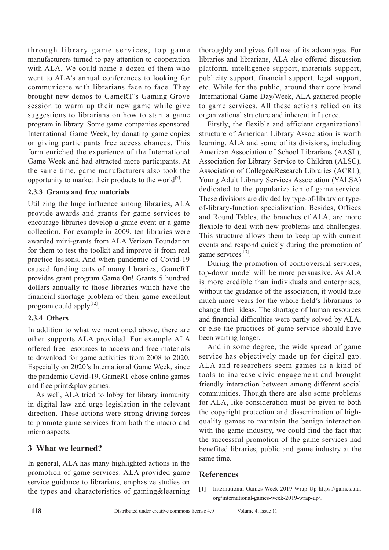through library game services, top game manufacturers turned to pay attention to cooperation with ALA. We could name a dozen of them who went to ALA's annual conferences to looking for communicate with librarians face to face. They brought new demos to GameRT's Gaming Grove session to warm up their new game while give suggestions to librarians on how to start a game program in library. Some game companies sponsored International Game Week, by donating game copies or giving participants free access chances. This form enriched the experience of the International Game Week and had attracted more participants. At the same time, game manufacturers also took the opportunity to market their products to the world $[9]$ .

#### **2.3.3 Grants and free materials**

Utilizing the huge influence among libraries, ALA provide awards and grants for game services to encourage libraries develop a game event or a game collection. For example in 2009, ten libraries were awarded mini-grants from ALA Verizon Foundation for them to test the toolkit and improve it from real practice lessons. And when pandemic of Covid-19 caused funding cuts of many libraries, GameRT provides grant program Game On! Grants 5 hundred dollars annually to those libraries which have the financial shortage problem of their game excellent program could apply $[12]$ .

#### **2.3.4 Others**

In addition to what we mentioned above, there are other supports ALA provided. For example ALA offered free resources to access and free materials to download for game activities from 2008 to 2020. Especially on 2020's International Game Week, since the pandemic Covid-19, GameRT chose online games and free print&play games.

As well, ALA tried to lobby for library immunity in digital law and urge legislation in the relevant direction. These actions were strong driving forces to promote game services from both the macro and micro aspects.

### **3 What we learned?**

In general, ALA has many highlighted actions in the promotion of game services. ALA provided game service guidance to librarians, emphasize studies on the types and characteristics of gaming&learning thoroughly and gives full use of its advantages. For libraries and librarians, ALA also offered discussion platform, intelligence support, materials support, publicity support, financial support, legal support, etc. While for the public, around their core brand International Game Day/Week, ALA gathered people to game services. All these actions relied on its organizational structure and inherent influence.

Firstly, the flexible and efficient organizational structure of American Library Association is worth learning. ALA and some of its divisions, including American Association of School Librarians (AASL), Association for Library Service to Children (ALSC), Association of College&Research Libraries (ACRL), Young Adult Library Services Association (YALSA) dedicated to the popularization of game service. These divisions are divided by type-of-library or typeof-library-function specialization. Besides, Offices and Round Tables, the branches of ALA, are more flexible to deal with new problems and challenges. This structure allows them to keep up with current events and respond quickly during the promotion of game services<sup>[13]</sup>.

During the promotion of controversial services, top-down model will be more persuasive. As ALA is more credible than individuals and enterprises, without the guidance of the association, it would take much more years for the whole field's librarians to change their ideas. The shortage of human resources and financial difficulties were partly solved by ALA, or else the practices of game service should have been waiting longer.

And in some degree, the wide spread of game service has objectively made up for digital gap. ALA and researchers seem games as a kind of tools to increase civic engagement and brought friendly interaction between among different social communities. Though there are also some problems for ALA, like consideration must be given to both the copyright protection and dissemination of highquality games to maintain the benign interaction with the game industry, we could find the fact that the successful promotion of the game services had benefited libraries, public and game industry at the same time.

### **References**

[1] International Games Week 2019 Wrap-Up https://games.ala. org/international-games-week-2019-wrap-up/.